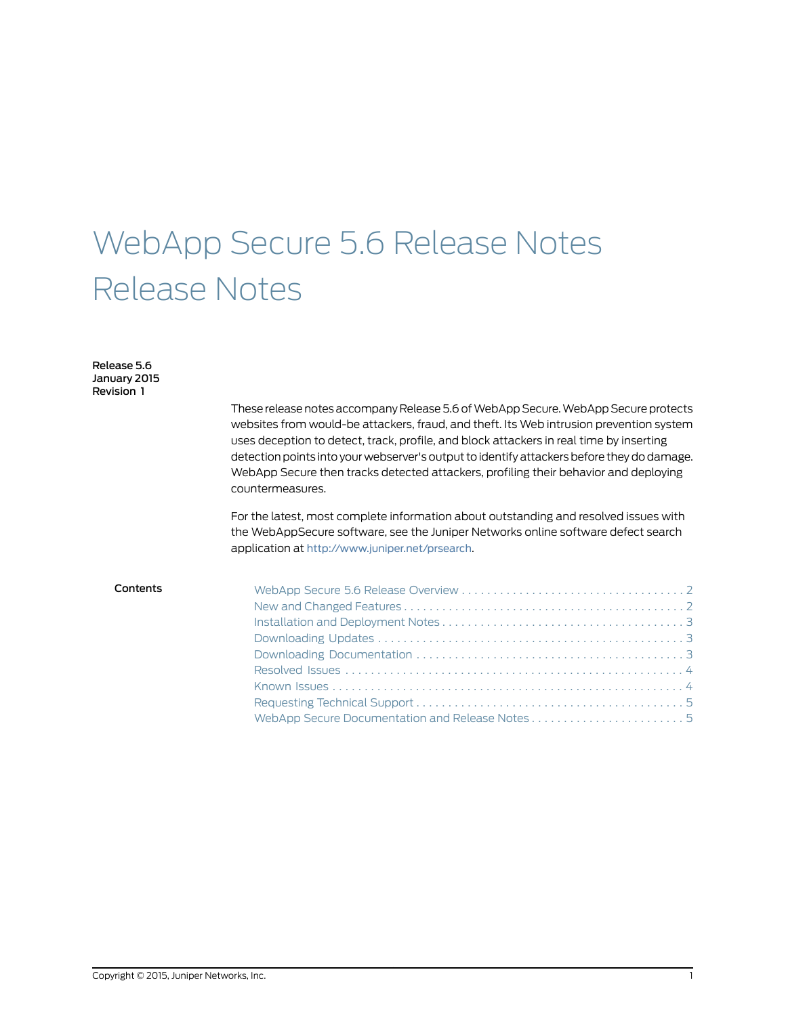# WebApp Secure 5.6 Release Notes Release Notes

Release 5.6 January 2015 Revision 1

> These release notes accompany Release 5.6 of WebApp Secure. WebApp Secure protects websites from would-be attackers, fraud, and theft. Its Web intrusion prevention system uses deception to detect, track, profile, and block attackers in real time by inserting detection points into your webserver's output to identify attackers before they do damage. WebApp Secure then tracks detected attackers, profiling their behavior and deploying countermeasures.

For the latest, most complete information about outstanding and resolved issues with the WebAppSecure software, see the Juniper Networks online software defect search application at <http://www.juniper.net/prsearch>.

| Contents |  |
|----------|--|
|          |  |
|          |  |
|          |  |
|          |  |
|          |  |
|          |  |
|          |  |
|          |  |
|          |  |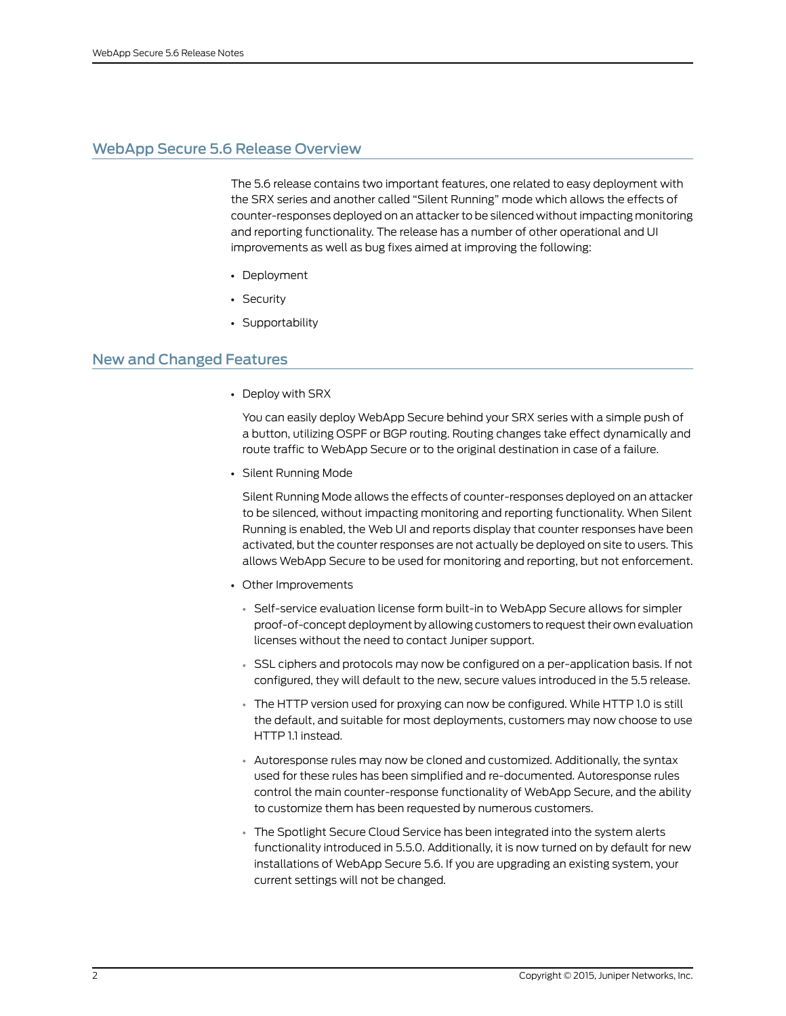# <span id="page-1-0"></span>WebApp Secure 5.6 Release Overview

The 5.6 release contains two important features, one related to easy deployment with the SRX series and another called "Silent Running" mode which allows the effects of counter-responses deployed on an attacker to be silenced without impacting monitoring and reporting functionality. The release has a number of other operational and UI improvements as well as bug fixes aimed at improving the following:

- Deployment
- Security
- Supportability

# <span id="page-1-1"></span>New and Changed Features

• Deploy with SRX

You can easily deploy WebApp Secure behind your SRX series with a simple push of a button, utilizing OSPF or BGP routing. Routing changes take effect dynamically and route traffic to WebApp Secure or to the original destination in case of a failure.

• Silent Running Mode

Silent Running Mode allows the effects of counter-responses deployed on an attacker to be silenced, without impacting monitoring and reporting functionality. When Silent Running is enabled, the Web UI and reports display that counter responses have been activated, but the counter responses are not actually be deployed on site to users. This allows WebApp Secure to be used for monitoring and reporting, but not enforcement.

- Other Improvements
	- Self-service evaluation license form built-in to WebApp Secure allows for simpler proof-of-concept deployment by allowing customers to request their own evaluation licenses without the need to contact Juniper support.
	- SSL ciphers and protocols may now be configured on a per-application basis. If not configured, they will default to the new, secure values introduced in the 5.5 release.
	- The HTTP version used for proxying can now be configured. While HTTP 1.0 is still the default, and suitable for most deployments, customers may now choose to use HTTP 1.1 instead.
	- Autoresponse rules may now be cloned and customized. Additionally, the syntax used for these rules has been simplified and re-documented. Autoresponse rules control the main counter-response functionality of WebApp Secure, and the ability to customize them has been requested by numerous customers.
	- The Spotlight Secure Cloud Service has been integrated into the system alerts functionality introduced in 5.5.0. Additionally, it is now turned on by default for new installations of WebApp Secure 5.6. If you are upgrading an existing system, your current settings will not be changed.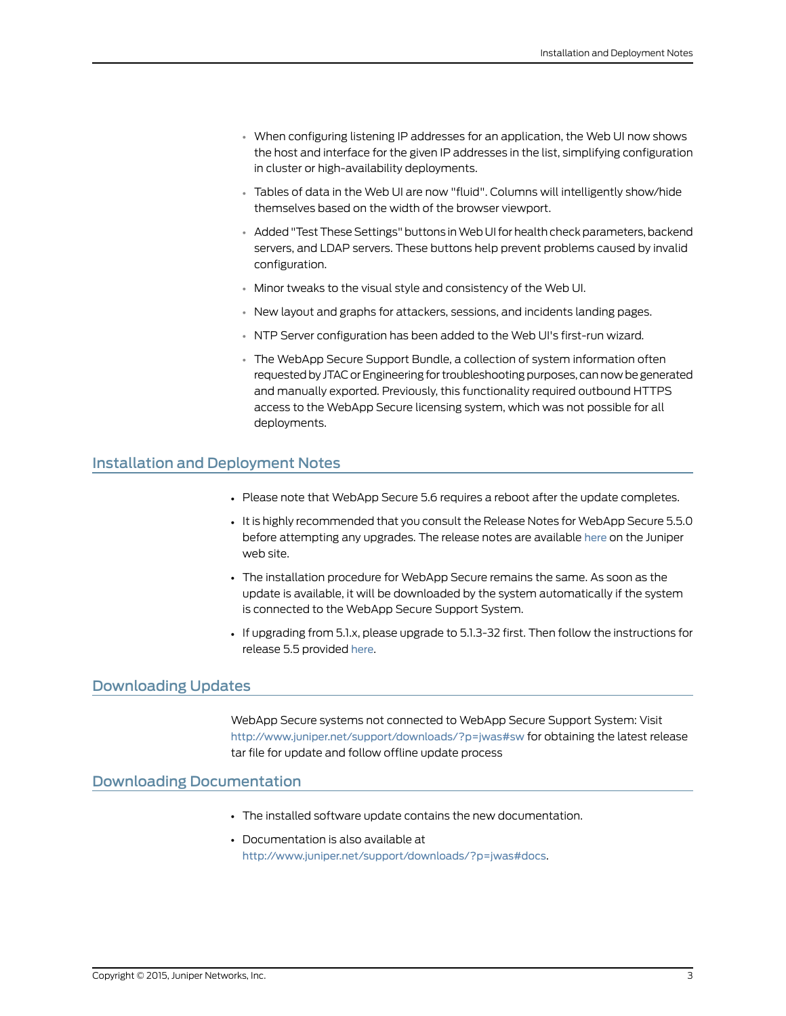- When configuring listening IP addresses for an application, the Web UI now shows the host and interface for the given IP addresses in the list, simplifying configuration in cluster or high-availability deployments.
- Tables of data in the Web UI are now "fluid". Columns will intelligently show/hide themselves based on the width of the browser viewport.
- Added "Test These Settings" buttons in Web UI for health check parameters, backend servers, and LDAP servers. These buttons help prevent problems caused by invalid configuration.
- Minor tweaks to the visual style and consistency of the Web UI.
- New layout and graphs for attackers, sessions, and incidents landing pages.
- NTP Server configuration has been added to the Web UI's first-run wizard.
- The WebApp Secure Support Bundle, a collection of system information often requested by JTAC or Engineering for troubleshooting purposes, can now be generated and manually exported. Previously, this functionality required outbound HTTPS access to the WebApp Secure licensing system, which was not possible for all deployments.

#### <span id="page-2-0"></span>Installation and Deployment Notes

- Please note that WebApp Secure 5.6 requires a reboot after the update completes.
- It is highly recommended that you consult the Release Notes for WebApp Secure 5.5.0 before attempting any upgrades. The release notes are available [here](http://www.juniper.net/techpubs/en_US/webapp5.5/information-products/topic-collections/webapp-secure-5.5-release-notes.pdf) on the Juniper web site.
- The installation procedure for WebApp Secure remains the same. As soon as the update is available, it will be downloaded by the system automatically if the system is connected to the WebApp Secure Support System.
- If upgrading from 5.1.x, please upgrade to 5.1.3-32 first. Then follow the instructions for release 5.5 provided [here](http://www.juniper.net/techpubs/en_US/webapp5.5/information-products/topic-collections/webapp-secure-5.5-release-notes.pdf).

#### <span id="page-2-2"></span><span id="page-2-1"></span>Downloading Updates

WebApp Secure systems not connected to WebApp Secure Support System: Visit <http://www.juniper.net/support/downloads/?p=jwas#sw> for obtaining the latest release tar file for update and follow offline update process

#### Downloading Documentation

- The installed software update contains the new documentation.
- Documentation is also available at <http://www.juniper.net/support/downloads/?p=jwas#docs>.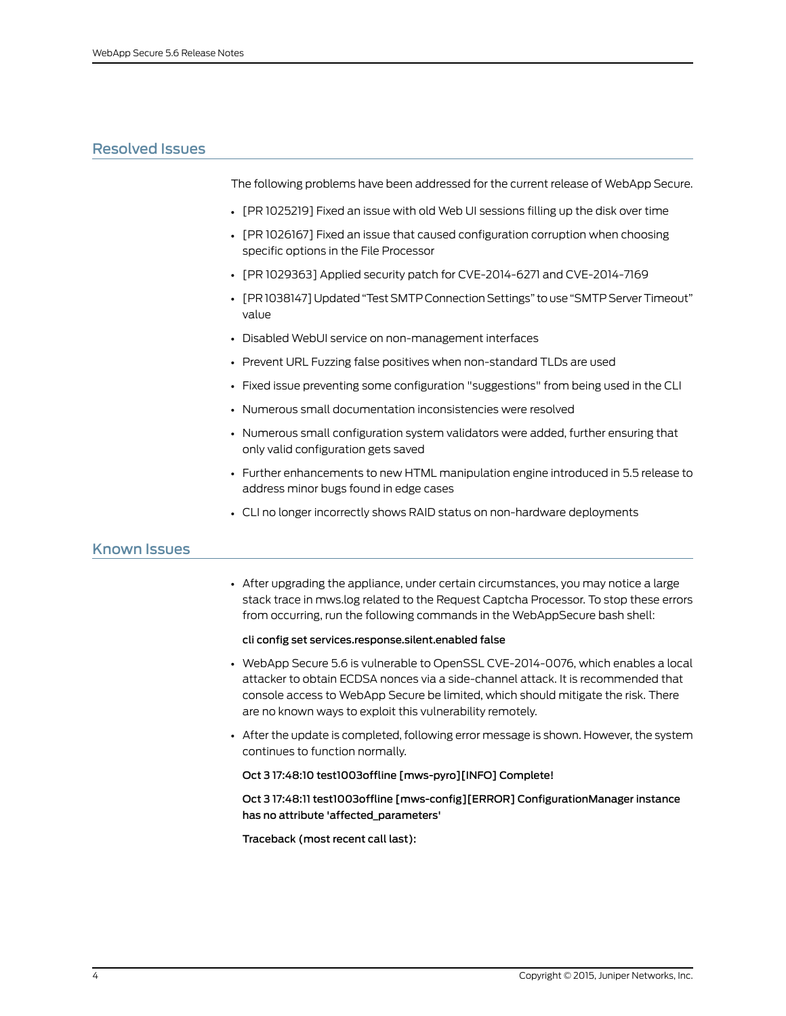# <span id="page-3-0"></span>Resolved Issues

The following problems have been addressed for the current release of WebApp Secure.

- [PR 1025219] Fixed an issue with old Web UI sessions filling up the disk over time
- [PR 1026167] Fixed an issue that caused configuration corruption when choosing specific options in the File Processor
- [PR 1029363] Applied security patch for CVE-2014-6271 and CVE-2014-7169
- [PR 1038147] Updated"Test SMTP Connection Settings" touse "SMTP ServerTimeout" value
- Disabled WebUI service on non-management interfaces
- Prevent URL Fuzzing false positives when non-standard TLDs are used
- Fixed issue preventing some configuration "suggestions" from being used in the CLI
- Numerous small documentation inconsistencies were resolved
- Numerous small configuration system validators were added, further ensuring that only valid configuration gets saved
- Further enhancements to new HTML manipulation engine introduced in 5.5 release to address minor bugs found in edge cases
- CLI no longer incorrectly shows RAID status on non-hardware deployments

# <span id="page-3-1"></span>Known Issues

• After upgrading the appliance, under certain circumstances, you may notice a large stack trace in mws.log related to the Request Captcha Processor. To stop these errors from occurring, run the following commands in the WebAppSecure bash shell:

#### cli config set services.response.silent.enabled false

- WebApp Secure 5.6 is vulnerable to OpenSSL CVE-2014-0076, which enables a local attacker to obtain ECDSA nonces via a side-channel attack. It is recommended that console access to WebApp Secure be limited, which should mitigate the risk. There are no known ways to exploit this vulnerability remotely.
- After the update is completed, following error message is shown. However, the system continues to function normally.

#### Oct 3 17:48:10 test1003offline [mws-pyro][INFO] Complete!

Oct 3 17:48:11 test1003offline [mws-config][ERROR] ConfigurationManager instance has no attribute 'affected\_parameters'

Traceback (most recent call last):